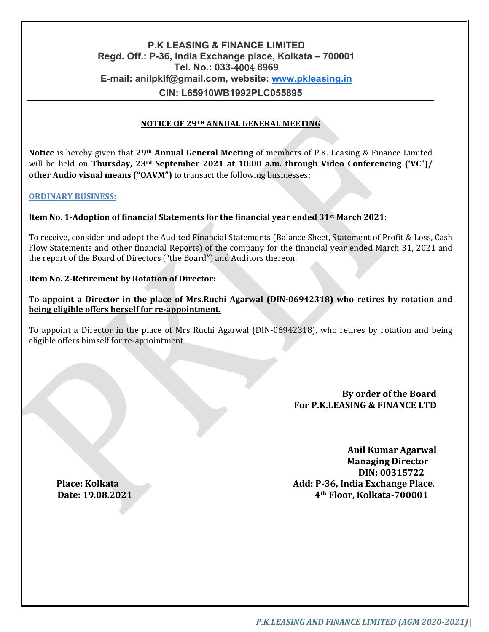# **P.K LEASING & FINANCE LIMITED Regd. Off.: P-36, India Exchange place, Kolkata – 700001 Tel. No.: 033**-4004 **8969 E**-**mail: anilpklf@gmail.com, website: www.pkleasing.in CIN: L65910WB1992PLC055895**

### **NOTICE OF 29TH ANNUAL GENERAL MEETING**

**Notice** is hereby given that **29th Annual General Meeting** of members of P.K. Leasing & Finance Limited will be held on **Thursday, 23rd September 2021 at 10:00 a.m. through Video Conferencing ('VC")/ other Audio visual means ("OAVM")** to transact the following businesses:

#### **ORDINARY BUSINESS:**

#### **Item No. 1‐Adoption of financial Statements for the financial year ended 31st March 2021:**

To receive, consider and adopt the Audited Financial Statements (Balance Sheet, Statement of Profit & Loss, Cash Flow Statements and other financial Reports) of the company for the financial year ended March 31, 2021 and the report of the Board of Directors ("the Board") and Auditors thereon.

#### **Item No. 2‐Retirement by Rotation of Director:**

## **To appoint a Director in the place of Mrs.Ruchi Agarwal (DIN‐06942318) who retires by rotation and being eligible offers herself for re‐appointment.**

To appoint a Director in the place of Mrs Ruchi Agarwal (DIN-06942318), who retires by rotation and being eligible offers himself for re-appointment

## **By order of the Board For P.K.LEASING & FINANCE LTD**

**Anil Kumar Agarwal Managing Director DIN: 00315722 Place: Kolkata Add: P‐36, India Exchange Place**, **Date: 19.08.2021 4th Floor, Kolkata‐700001**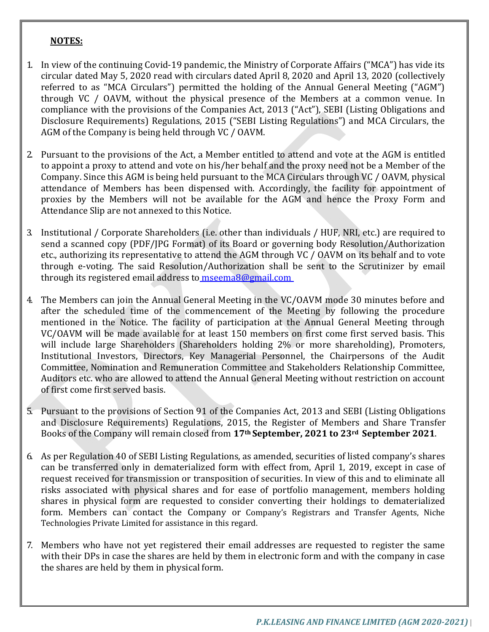## **NOTES:**

- 1. In view of the continuing Covid-19 pandemic, the Ministry of Corporate Affairs ("MCA") has vide its circular dated May 5, 2020 read with circulars dated April 8, 2020 and April 13, 2020 (collectively referred to as "MCA Circulars") permitted the holding of the Annual General Meeting ("AGM") through VC / OAVM, without the physical presence of the Members at a common venue. In compliance with the provisions of the Companies Act, 2013 ("Act"), SEBI (Listing Obligations and Disclosure Requirements) Regulations, 2015 ("SEBI Listing Regulations") and MCA Circulars, the AGM of the Company is being held through VC / OAVM.
- 2. Pursuant to the provisions of the Act, a Member entitled to attend and vote at the AGM is entitled to appoint a proxy to attend and vote on his/her behalf and the proxy need not be a Member of the Company. Since this AGM is being held pursuant to the MCA Circulars through VC / OAVM, physical attendance of Members has been dispensed with. Accordingly, the facility for appointment of proxies by the Members will not be available for the AGM and hence the Proxy Form and Attendance Slip are not annexed to this Notice.
- 3. Institutional / Corporate Shareholders (i.e. other than individuals / HUF, NRI, etc.) are required to send a scanned copy (PDF/JPG Format) of its Board or governing body Resolution/Authorization etc., authorizing its representative to attend the AGM through VC / OAVM on its behalf and to vote through e-voting. The said Resolution/Authorization shall be sent to the Scrutinizer by email through its registered email address to mseema8@gmail.com
- 4. The Members can join the Annual General Meeting in the VC/OAVM mode 30 minutes before and after the scheduled time of the commencement of the Meeting by following the procedure mentioned in the Notice. The facility of participation at the Annual General Meeting through VC/OAVM will be made available for at least 150 members on first come first served basis. This will include large Shareholders (Shareholders holding 2% or more shareholding), Promoters, Institutional Investors, Directors, Key Managerial Personnel, the Chairpersons of the Audit Committee, Nomination and Remuneration Committee and Stakeholders Relationship Committee, Auditors etc. who are allowed to attend the Annual General Meeting without restriction on account of first come first served basis.
- 5. Pursuant to the provisions of Section 91 of the Companies Act, 2013 and SEBI (Listing Obligations and Disclosure Requirements) Regulations, 2015, the Register of Members and Share Transfer Books of the Company will remain closed from **17th September, 2021 to 23rd September 2021**.
- 6. As per Regulation 40 of SEBI Listing Regulations, as amended, securities of listed company's shares can be transferred only in dematerialized form with effect from, April 1, 2019, except in case of request received for transmission or transposition of securities. In view of this and to eliminate all risks associated with physical shares and for ease of portfolio management, members holding shares in physical form are requested to consider converting their holdings to dematerialized form. Members can contact the Company or Company's Registrars and Transfer Agents, Niche Technologies Private Limited for assistance in this regard.
- 7. Members who have not yet registered their email addresses are requested to register the same with their DPs in case the shares are held by them in electronic form and with the company in case the shares are held by them in physical form.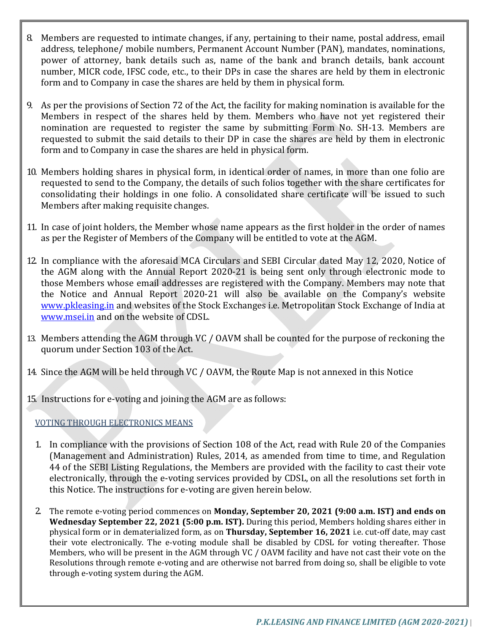- 8. Members are requested to intimate changes, if any, pertaining to their name, postal address, email address, telephone/ mobile numbers, Permanent Account Number (PAN), mandates, nominations, power of attorney, bank details such as, name of the bank and branch details, bank account number, MICR code, IFSC code, etc., to their DPs in case the shares are held by them in electronic form and to Company in case the shares are held by them in physical form.
- 9. As per the provisions of Section 72 of the Act, the facility for making nomination is available for the Members in respect of the shares held by them. Members who have not yet registered their nomination are requested to register the same by submitting Form No. SH-13. Members are requested to submit the said details to their DP in case the shares are held by them in electronic form and to Company in case the shares are held in physical form.
- 10. Members holding shares in physical form, in identical order of names, in more than one folio are requested to send to the Company, the details of such folios together with the share certificates for consolidating their holdings in one folio. A consolidated share certificate will be issued to such Members after making requisite changes.
- 11. In case of joint holders, the Member whose name appears as the first holder in the order of names as per the Register of Members of the Company will be entitled to vote at the AGM.
- 12. In compliance with the aforesaid MCA Circulars and SEBI Circular dated May 12, 2020, Notice of the AGM along with the Annual Report 2020-21 is being sent only through electronic mode to those Members whose email addresses are registered with the Company. Members may note that the Notice and Annual Report 2020-21 will also be available on the Company's website www.pkleasing.in and websites of the Stock Exchanges i.e. Metropolitan Stock Exchange of India at www.msei.in and on the website of CDSL.
- 13. Members attending the AGM through VC / OAVM shall be counted for the purpose of reckoning the quorum under Section 103 of the Act.
- 14. Since the AGM will be held through VC / OAVM, the Route Map is not annexed in this Notice
- 15. Instructions for e-voting and joining the AGM are as follows:

VOTING THROUGH ELECTRONICS MEANS

- 1. In compliance with the provisions of Section 108 of the Act, read with Rule 20 of the Companies (Management and Administration) Rules, 2014, as amended from time to time, and Regulation 44 of the SEBI Listing Regulations, the Members are provided with the facility to cast their vote electronically, through the e-voting services provided by CDSL, on all the resolutions set forth in this Notice. The instructions for e-voting are given herein below.
- 2. The remote e-voting period commences on **Monday, September 20, 2021 (9:00 a.m. IST) and ends on Wednesday September 22, 2021 (5:00 p.m. IST).** During this period, Members holding shares either in physical form or in dematerialized form, as on **Thursday, September 16, 2021** i.e. cut-off date, may cast their vote electronically. The e-voting module shall be disabled by CDSL for voting thereafter. Those Members, who will be present in the AGM through VC / OAVM facility and have not cast their vote on the Resolutions through remote e-voting and are otherwise not barred from doing so, shall be eligible to vote through e-voting system during the AGM.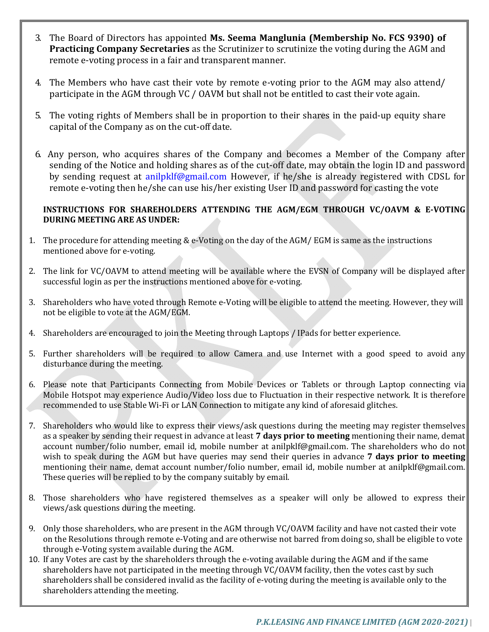- 3. The Board of Directors has appointed **Ms. Seema Manglunia (Membership No. FCS 9390) of Practicing Company Secretaries** as the Scrutinizer to scrutinize the voting during the AGM and remote e-voting process in a fair and transparent manner.
- 4. The Members who have cast their vote by remote e-voting prior to the AGM may also attend/ participate in the AGM through VC / OAVM but shall not be entitled to cast their vote again.
- 5. The voting rights of Members shall be in proportion to their shares in the paid-up equity share capital of the Company as on the cut-off date.
- 6. Any person, who acquires shares of the Company and becomes a Member of the Company after sending of the Notice and holding shares as of the cut-off date, may obtain the login ID and password by sending request at anilpklf@gmail.com However, if he/she is already registered with CDSL for remote e-voting then he/she can use his/her existing User ID and password for casting the vote

## **INSTRUCTIONS FOR SHAREHOLDERS ATTENDING THE AGM/EGM THROUGH VC/OAVM & E‐VOTING DURING MEETING ARE AS UNDER:**

- 1. The procedure for attending meeting & e-Voting on the day of the AGM/ EGM is same as the instructions mentioned above for e-voting.
- 2. The link for VC/OAVM to attend meeting will be available where the EVSN of Company will be displayed after successful login as per the instructions mentioned above for e-voting.
- 3. Shareholders who have voted through Remote e-Voting will be eligible to attend the meeting. However, they will not be eligible to vote at the AGM/EGM.
- 4. Shareholders are encouraged to join the Meeting through Laptops / IPads for better experience.
- 5. Further shareholders will be required to allow Camera and use Internet with a good speed to avoid any disturbance during the meeting.
- 6. Please note that Participants Connecting from Mobile Devices or Tablets or through Laptop connecting via Mobile Hotspot may experience Audio/Video loss due to Fluctuation in their respective network. It is therefore recommended to use Stable Wi-Fi or LAN Connection to mitigate any kind of aforesaid glitches.
- 7. Shareholders who would like to express their views/ask questions during the meeting may register themselves as a speaker by sending their request in advance at least **7 days prior to meeting** mentioning their name, demat account number/folio number, email id, mobile number at anilpklf@gmail.com. The shareholders who do not wish to speak during the AGM but have queries may send their queries in advance **7 days prior to meeting** mentioning their name, demat account number/folio number, email id, mobile number at anilpklf@gmail.com. These queries will be replied to by the company suitably by email.
- 8. Those shareholders who have registered themselves as a speaker will only be allowed to express their views/ask questions during the meeting.
- 9. Only those shareholders, who are present in the AGM through VC/OAVM facility and have not casted their vote on the Resolutions through remote e-Voting and are otherwise not barred from doing so, shall be eligible to vote through e-Voting system available during the AGM.
- 10. If any Votes are cast by the shareholders through the e-voting available during the AGM and if the same shareholders have not participated in the meeting through VC/OAVM facility, then the votes cast by such shareholders shall be considered invalid as the facility of e-voting during the meeting is available only to the shareholders attending the meeting.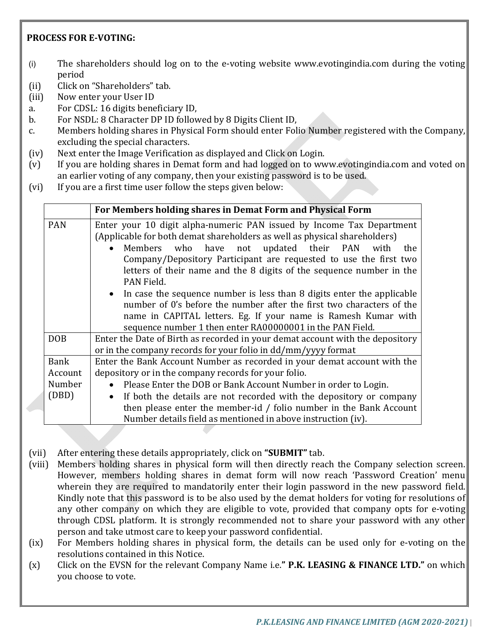# **PROCESS FOR E‐VOTING:**

- (i) The shareholders should log on to the e-voting website www.evotingindia.com during the voting period
- (ii) Click on "Shareholders" tab.
- (iii) Now enter your User ID
- a. For CDSL: 16 digits beneficiary ID,
- b. For NSDL: 8 Character DP ID followed by 8 Digits Client ID,
- c. Members holding shares in Physical Form should enter Folio Number registered with the Company, excluding the special characters.
- (iv) Next enter the Image Verification as displayed and Click on Login.
- (v) If you are holding shares in Demat form and had logged on to www.evotingindia.com and voted on an earlier voting of any company, then your existing password is to be used.
- (vi) If you are a first time user follow the steps given below:

|                                           | For Members holding shares in Demat Form and Physical Form                                                                                                                                                                                                                                                                                                                                                                   |
|-------------------------------------------|------------------------------------------------------------------------------------------------------------------------------------------------------------------------------------------------------------------------------------------------------------------------------------------------------------------------------------------------------------------------------------------------------------------------------|
| <b>PAN</b>                                | Enter your 10 digit alpha-numeric PAN issued by Income Tax Department<br>(Applicable for both demat shareholders as well as physical shareholders)<br>Members who have not updated their PAN<br>$\bullet$<br>with<br>the<br>Company/Depository Participant are requested to use the first two<br>letters of their name and the 8 digits of the sequence number in the<br>PAN Field.                                          |
|                                           | • In case the sequence number is less than 8 digits enter the applicable<br>number of 0's before the number after the first two characters of the<br>name in CAPITAL letters. Eg. If your name is Ramesh Kumar with<br>sequence number 1 then enter RA00000001 in the PAN Field.                                                                                                                                             |
| <b>DOB</b>                                | Enter the Date of Birth as recorded in your demat account with the depository<br>or in the company records for your folio in dd/mm/yyyy format                                                                                                                                                                                                                                                                               |
| <b>Bank</b><br>Account<br>Number<br>(DBD) | Enter the Bank Account Number as recorded in your demat account with the<br>depository or in the company records for your folio.<br>Please Enter the DOB or Bank Account Number in order to Login.<br>If both the details are not recorded with the depository or company<br>$\bullet$<br>then please enter the member-id / folio number in the Bank Account<br>Number details field as mentioned in above instruction (iv). |

- (vii) After entering these details appropriately, click on **"SUBMIT"** tab.
- (viii) Members holding shares in physical form will then directly reach the Company selection screen. However, members holding shares in demat form will now reach 'Password Creation' menu wherein they are required to mandatorily enter their login password in the new password field. Kindly note that this password is to be also used by the demat holders for voting for resolutions of any other company on which they are eligible to vote, provided that company opts for e-voting through CDSL platform. It is strongly recommended not to share your password with any other person and take utmost care to keep your password confidential.
- (ix) For Members holding shares in physical form, the details can be used only for e-voting on the resolutions contained in this Notice.
- (x) Click on the EVSN for the relevant Company Name i.e.**" P.K. LEASING & FINANCE LTD."** on which you choose to vote.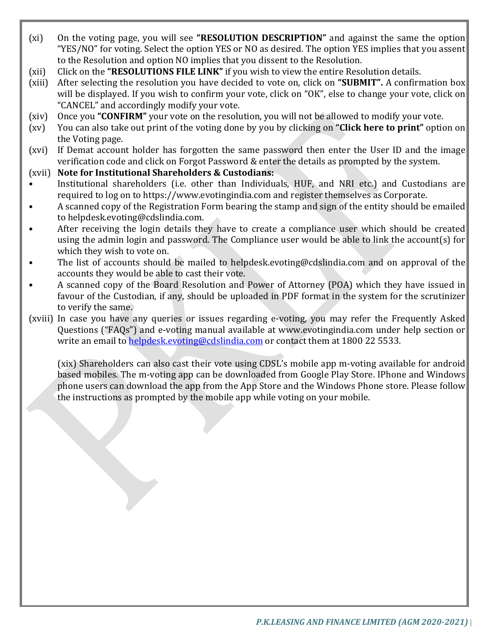- (xi) On the voting page, you will see **"RESOLUTION DESCRIPTION"** and against the same the option "YES/NO" for voting. Select the option YES or NO as desired. The option YES implies that you assent to the Resolution and option NO implies that you dissent to the Resolution.
- (xii) Click on the **"RESOLUTIONS FILE LINK"** if you wish to view the entire Resolution details.
- (xiii) After selecting the resolution you have decided to vote on, click on **"SUBMIT".** A confirmation box will be displayed. If you wish to confirm your vote, click on "OK", else to change your vote, click on "CANCEL" and accordingly modify your vote.
- (xiv) Once you **"CONFIRM"** your vote on the resolution, you will not be allowed to modify your vote.
- (xv) You can also take out print of the voting done by you by clicking on **"Click here to print"** option on the Voting page.
- (xvi) If Demat account holder has forgotten the same password then enter the User ID and the image verification code and click on Forgot Password & enter the details as prompted by the system.
- (xvii) **Note for Institutional Shareholders & Custodians:**
- Institutional shareholders (i.e. other than Individuals, HUF, and NRI etc.) and Custodians are required to log on to https://www.evotingindia.com and register themselves as Corporate.
- A scanned copy of the Registration Form bearing the stamp and sign of the entity should be emailed to helpdesk.evoting@cdslindia.com.
- After receiving the login details they have to create a compliance user which should be created using the admin login and password. The Compliance user would be able to link the account(s) for which they wish to vote on.
- The list of accounts should be mailed to helpdesk.evoting@cdslindia.com and on approval of the accounts they would be able to cast their vote.
- A scanned copy of the Board Resolution and Power of Attorney (POA) which they have issued in favour of the Custodian, if any, should be uploaded in PDF format in the system for the scrutinizer to verify the same.
- (xviii) In case you have any queries or issues regarding e-voting, you may refer the Frequently Asked Questions ("FAQs") and e-voting manual available at www.evotingindia.com under help section or write an email to helpdesk.evoting@cdslindia.com or contact them at 1800 22 5533.

(xix) Shareholders can also cast their vote using CDSL's mobile app m-voting available for android based mobiles. The m-voting app can be downloaded from Google Play Store. IPhone and Windows phone users can download the app from the App Store and the Windows Phone store. Please follow the instructions as prompted by the mobile app while voting on your mobile.